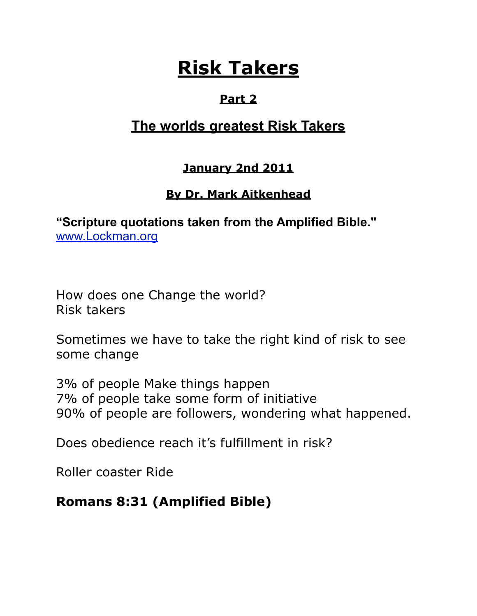# **Risk Takers**

## **Part 2**

## **The worlds greatest Risk Takers**

#### **January 2nd 2011**

## **By Dr. Mark Aitkenhead**

**"Scripture quotations taken from the Amplified Bible."**  [www.Lockman.org](http://www.lockman.org/tlf/pqform.php)

How does one Change the world? Risk takers

Sometimes we have to take the right kind of risk to see some change

3% of people Make things happen 7% of people take some form of initiative 90% of people are followers, wondering what happened.

Does obedience reach it's fulfillment in risk?

Roller coaster Ride

## **Romans 8:31 (Amplified Bible)**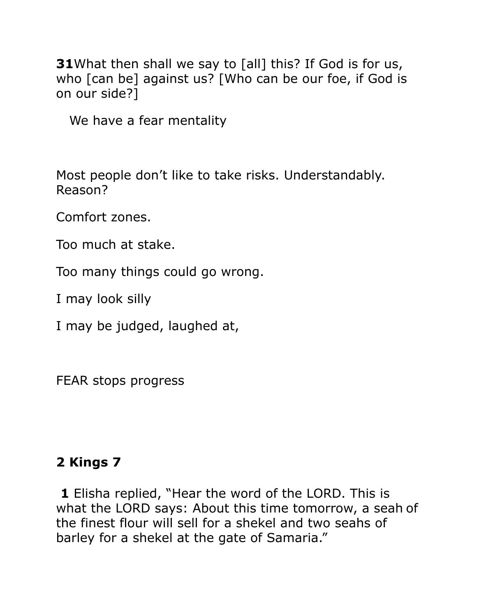**31**What then shall we say to [all] this? If God is for us, who [can be] against us? [Who can be our foe, if God is on our side?]

We have a fear mentality

Most people don't like to take risks. Understandably. Reason?

Comfort zones.

Too much at stake.

Too many things could go wrong.

I may look silly

I may be judged, laughed at,

FEAR stops progress

## **2 Kings 7**

**1** Elisha replied, "Hear the word of the LORD. This is what the LORD says: About this time tomorrow, a seah of the finest flour will sell for a shekel and two seahs of barley for a shekel at the gate of Samaria."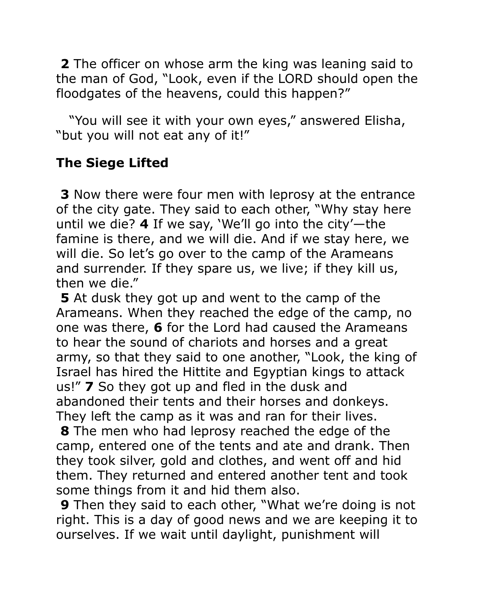**2** The officer on whose arm the king was leaning said to the man of God, "Look, even if the LORD should open the floodgates of the heavens, could this happen?"

 "You will see it with your own eyes," answered Elisha, "but you will not eat any of it!"

## **The Siege Lifted**

**3** Now there were four men with leprosy at the entrance of the city gate. They said to each other, "Why stay here until we die? **4** If we say, 'We'll go into the city'—the famine is there, and we will die. And if we stay here, we will die. So let's go over to the camp of the Arameans and surrender. If they spare us, we live; if they kill us, then we die."

**5** At dusk they got up and went to the camp of the Arameans. When they reached the edge of the camp, no one was there, **6** for the Lord had caused the Arameans to hear the sound of chariots and horses and a great army, so that they said to one another, "Look, the king of Israel has hired the Hittite and Egyptian kings to attack us!" **7** So they got up and fled in the dusk and abandoned their tents and their horses and donkeys. They left the camp as it was and ran for their lives.

**8** The men who had leprosy reached the edge of the camp, entered one of the tents and ate and drank. Then they took silver, gold and clothes, and went off and hid them. They returned and entered another tent and took some things from it and hid them also.

**9** Then they said to each other, "What we're doing is not right. This is a day of good news and we are keeping it to ourselves. If we wait until daylight, punishment will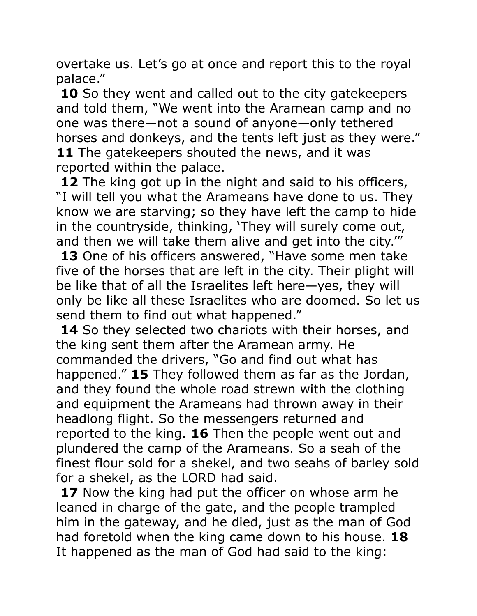overtake us. Let's go at once and report this to the royal palace."

**10** So they went and called out to the city gatekeepers and told them, "We went into the Aramean camp and no one was there—not a sound of anyone—only tethered horses and donkeys, and the tents left just as they were." **11** The gatekeepers shouted the news, and it was reported within the palace.

**12** The king got up in the night and said to his officers, "I will tell you what the Arameans have done to us. They know we are starving; so they have left the camp to hide in the countryside, thinking, 'They will surely come out, and then we will take them alive and get into the city.'" **13** One of his officers answered, "Have some men take five of the horses that are left in the city. Their plight will be like that of all the Israelites left here—yes, they will only be like all these Israelites who are doomed. So let us send them to find out what happened."

**14** So they selected two chariots with their horses, and the king sent them after the Aramean army. He commanded the drivers, "Go and find out what has happened." **15** They followed them as far as the Jordan, and they found the whole road strewn with the clothing and equipment the Arameans had thrown away in their headlong flight. So the messengers returned and reported to the king. **16** Then the people went out and plundered the camp of the Arameans. So a seah of the finest flour sold for a shekel, and two seahs of barley sold for a shekel, as the LORD had said.

**17** Now the king had put the officer on whose arm he leaned in charge of the gate, and the people trampled him in the gateway, and he died, just as the man of God had foretold when the king came down to his house. **18** It happened as the man of God had said to the king: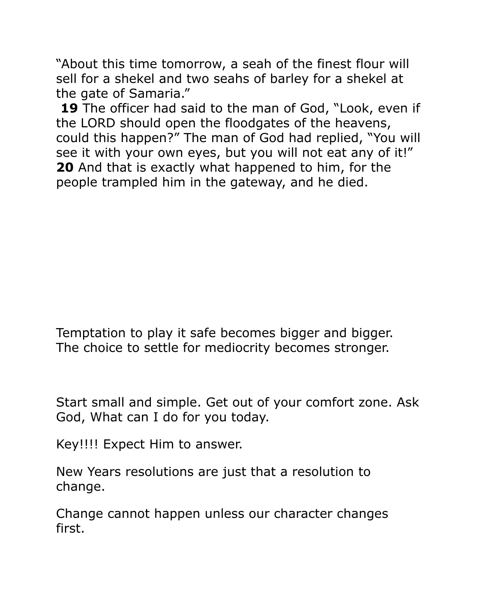"About this time tomorrow, a seah of the finest flour will sell for a shekel and two seahs of barley for a shekel at the gate of Samaria."

**19** The officer had said to the man of God, "Look, even if the LORD should open the floodgates of the heavens, could this happen?" The man of God had replied, "You will see it with your own eyes, but you will not eat any of it!" **20** And that is exactly what happened to him, for the people trampled him in the gateway, and he died.

Temptation to play it safe becomes bigger and bigger. The choice to settle for mediocrity becomes stronger.

Start small and simple. Get out of your comfort zone. Ask God, What can I do for you today.

Key!!!! Expect Him to answer.

New Years resolutions are just that a resolution to change.

Change cannot happen unless our character changes first.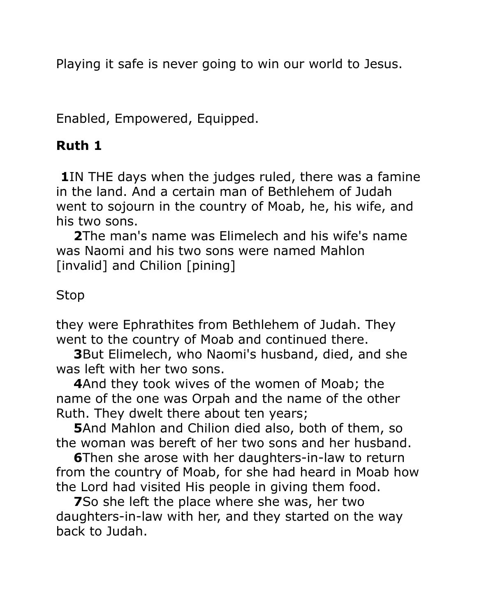Playing it safe is never going to win our world to Jesus.

Enabled, Empowered, Equipped.

## **Ruth 1**

**1**IN THE days when the judges ruled, there was a famine in the land. And a certain man of Bethlehem of Judah went to sojourn in the country of Moab, he, his wife, and his two sons.

 **2**The man's name was Elimelech and his wife's name was Naomi and his two sons were named Mahlon [invalid] and Chilion [pining]

#### Stop

they were Ephrathites from Bethlehem of Judah. They went to the country of Moab and continued there.

 **3**But Elimelech, who Naomi's husband, died, and she was left with her two sons.

 **4**And they took wives of the women of Moab; the name of the one was Orpah and the name of the other Ruth. They dwelt there about ten years;

 **5**And Mahlon and Chilion died also, both of them, so the woman was bereft of her two sons and her husband.

 **6**Then she arose with her daughters-in-law to return from the country of Moab, for she had heard in Moab how the Lord had visited His people in giving them food.

 **7**So she left the place where she was, her two daughters-in-law with her, and they started on the way back to Judah.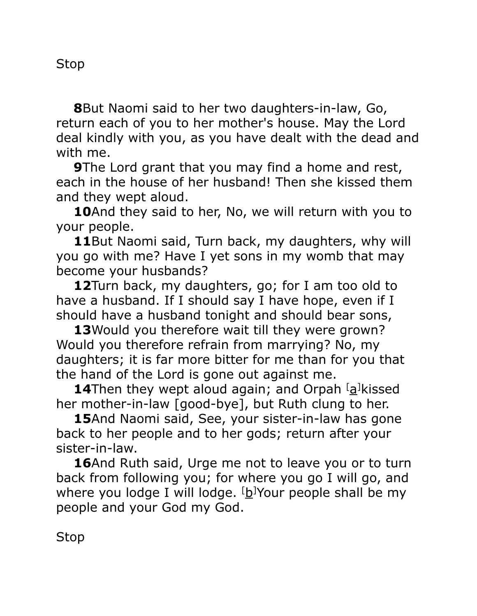Stop

 **8**But Naomi said to her two daughters-in-law, Go, return each of you to her mother's house. May the Lord deal kindly with you, as you have dealt with the dead and with me.

**9**The Lord grant that you may find a home and rest, each in the house of her husband! Then she kissed them and they wept aloud.

 **10**And they said to her, No, we will return with you to your people.

 **11**But Naomi said, Turn back, my daughters, why will you go with me? Have I yet sons in my womb that may become your husbands?

 **12**Turn back, my daughters, go; for I am too old to have a husband. If I should say I have hope, even if I should have a husband tonight and should bear sons,

 **13**Would you therefore wait till they were grown? Would you therefore refrain from marrying? No, my daughters; it is far more bitter for me than for you that the hand of the Lord is gone out against me.

**14**Then they wept aloud again; and Orpah <sup>[</sup>[a\]](http://www.biblegateway.com/passage/?search=Ruth&version=AMP#fen-AMP-7142a)kissed her mother-in-law [good-bye], but Ruth clung to her.

 **15**And Naomi said, See, your sister-in-law has gone back to her people and to her gods; return after your sister-in-law.

16And Ruth said, Urge me not to leave you or to turn back from following you; for where you go I will go, and where you lodge I will lodge. <sup>[</sup>[b\]](http://www.biblegateway.com/passage/?search=Ruth&version=AMP#fen-AMP-7144b)Your people shall be my people and your God my God.

Stop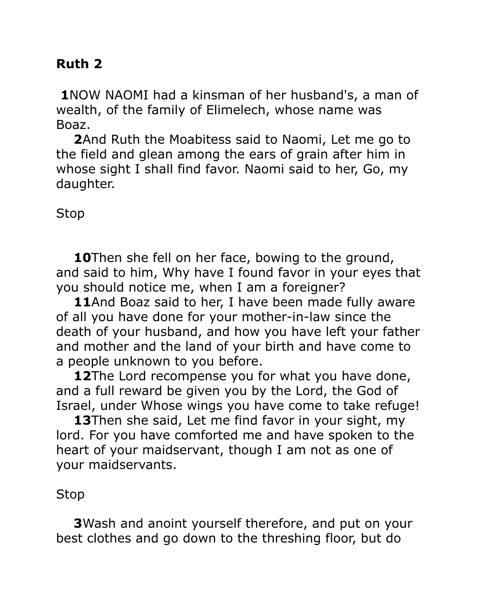## **Ruth 2**

**1**NOW NAOMI had a kinsman of her husband's, a man of wealth, of the family of Elimelech, whose name was Boaz.

 **2**And Ruth the Moabitess said to Naomi, Let me go to the field and glean among the ears of grain after him in whose sight I shall find favor. Naomi said to her, Go, my daughter.

#### Stop

 **10**Then she fell on her face, bowing to the ground, and said to him, Why have I found favor in your eyes that you should notice me, when I am a foreigner?

 **11**And Boaz said to her, I have been made fully aware of all you have done for your mother-in-law since the death of your husband, and how you have left your father and mother and the land of your birth and have come to a people unknown to you before.

**12**The Lord recompense you for what you have done, and a full reward be given you by the Lord, the God of Israel, under Whose wings you have come to take refuge!

 **13**Then she said, Let me find favor in your sight, my lord. For you have comforted me and have spoken to the heart of your maidservant, though I am not as one of your maidservants.

#### Stop

 **3**Wash and anoint yourself therefore, and put on your best clothes and go down to the threshing floor, but do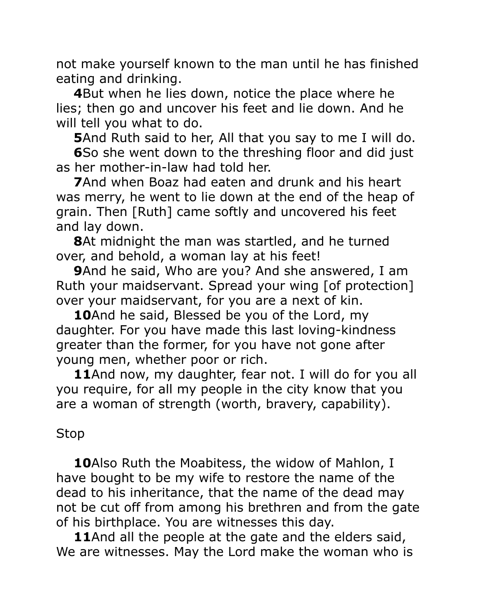not make yourself known to the man until he has finished eating and drinking.

 **4**But when he lies down, notice the place where he lies; then go and uncover his feet and lie down. And he will tell you what to do.

**5**And Ruth said to her, All that you say to me I will do.

**6**So she went down to the threshing floor and did just as her mother-in-law had told her.

 **7**And when Boaz had eaten and drunk and his heart was merry, he went to lie down at the end of the heap of grain. Then [Ruth] came softly and uncovered his feet and lay down.

 **8**At midnight the man was startled, and he turned over, and behold, a woman lay at his feet!

 **9**And he said, Who are you? And she answered, I am Ruth your maidservant. Spread your wing [of protection] over your maidservant, for you are a next of kin.

 **10**And he said, Blessed be you of the Lord, my daughter. For you have made this last loving-kindness greater than the former, for you have not gone after young men, whether poor or rich.

 **11**And now, my daughter, fear not. I will do for you all you require, for all my people in the city know that you are a woman of strength (worth, bravery, capability).

## Stop

 **10**Also Ruth the Moabitess, the widow of Mahlon, I have bought to be my wife to restore the name of the dead to his inheritance, that the name of the dead may not be cut off from among his brethren and from the gate of his birthplace. You are witnesses this day.

 **11**And all the people at the gate and the elders said, We are witnesses. May the Lord make the woman who is